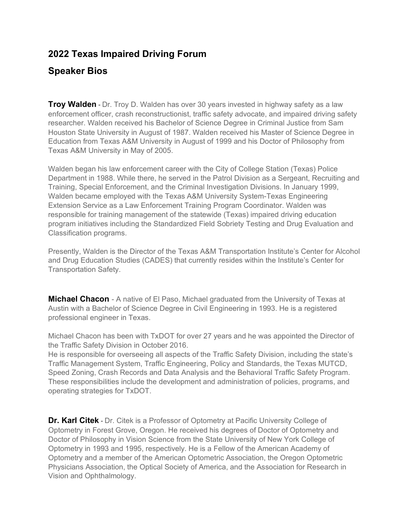## **2022 Texas Impaired Driving Forum**

## **Speaker Bios**

**Troy Walden** - Dr. Troy D. Walden has over 30 years invested in highway safety as a law enforcement officer, crash reconstructionist, traffic safety advocate, and impaired driving safety researcher. Walden received his Bachelor of Science Degree in Criminal Justice from Sam Houston State University in August of 1987. Walden received his Master of Science Degree in Education from Texas A&M University in August of 1999 and his Doctor of Philosophy from Texas A&M University in May of 2005.

Walden began his law enforcement career with the City of College Station (Texas) Police Department in 1988. While there, he served in the Patrol Division as a Sergeant, Recruiting and Training, Special Enforcement, and the Criminal Investigation Divisions. In January 1999, Walden became employed with the Texas A&M University System-Texas Engineering Extension Service as a Law Enforcement Training Program Coordinator. Walden was responsible for training management of the statewide (Texas) impaired driving education program initiatives including the Standardized Field Sobriety Testing and Drug Evaluation and Classification programs.

Presently, Walden is the Director of the Texas A&M Transportation Institute's Center for Alcohol and Drug Education Studies (CADES) that currently resides within the Institute's Center for Transportation Safety.

**Michael Chacon** - A native of El Paso, Michael graduated from the University of Texas at Austin with a Bachelor of Science Degree in Civil Engineering in 1993. He is a registered professional engineer in Texas.

Michael Chacon has been with TxDOT for over 27 years and he was appointed the Director of the Traffic Safety Division in October 2016.

He is responsible for overseeing all aspects of the Traffic Safety Division, including the state's Traffic Management System, Traffic Engineering, Policy and Standards, the Texas MUTCD, Speed Zoning, Crash Records and Data Analysis and the Behavioral Traffic Safety Program. These responsibilities include the development and administration of policies, programs, and operating strategies for TxDOT.

**Dr. Karl Citek** - Dr. Citek is a Professor of Optometry at Pacific University College of Optometry in Forest Grove, Oregon. He received his degrees of Doctor of Optometry and Doctor of Philosophy in Vision Science from the State University of New York College of Optometry in 1993 and 1995, respectively. He is a Fellow of the American Academy of Optometry and a member of the American Optometric Association, the Oregon Optometric Physicians Association, the Optical Society of America, and the Association for Research in Vision and Ophthalmology.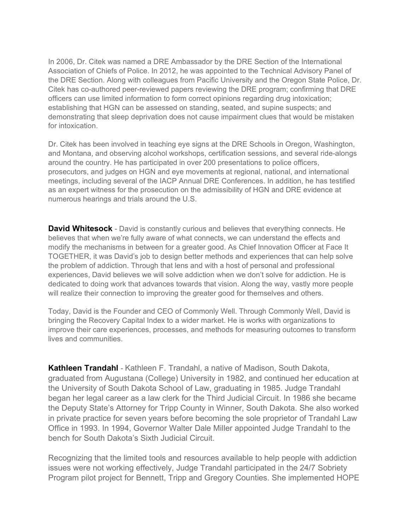In 2006, Dr. Citek was named a DRE Ambassador by the DRE Section of the International Association of Chiefs of Police. In 2012, he was appointed to the Technical Advisory Panel of the DRE Section. Along with colleagues from Pacific University and the Oregon State Police, Dr. Citek has co-authored peer-reviewed papers reviewing the DRE program; confirming that DRE officers can use limited information to form correct opinions regarding drug intoxication; establishing that HGN can be assessed on standing, seated, and supine suspects; and demonstrating that sleep deprivation does not cause impairment clues that would be mistaken for intoxication

Dr. Citek has been involved in teaching eye signs at the DRE Schools in Oregon, Washington, and Montana, and observing alcohol workshops, certification sessions, and several ride-alongs around the country. He has participated in over 200 presentations to police officers, prosecutors, and judges on HGN and eye movements at regional, national, and international meetings, including several of the IACP Annual DRE Conferences. In addition, he has testified as an expert witness for the prosecution on the admissibility of HGN and DRE evidence at numerous hearings and trials around the U.S.

**David Whitesock** - David is constantly curious and believes that everything connects. He believes that when we're fully aware of what connects, we can understand the effects and modify the mechanisms in between for a greater good. As Chief Innovation Officer at Face It TOGETHER, it was David's job to design better methods and experiences that can help solve the problem of addiction. Through that lens and with a host of personal and professional experiences, David believes we will solve addiction when we don't solve for addiction. He is dedicated to doing work that advances towards that vision. Along the way, vastly more people will realize their connection to improving the greater good for themselves and others.

Today, David is the Founder and CEO of Commonly Well. Through Commonly Well, David is bringing the Recovery Capital Index to a wider market. He is works with organizations to improve their care experiences, processes, and methods for measuring outcomes to transform lives and communities.

**Kathleen Trandahl** - Kathleen F. Trandahl, a native of Madison, South Dakota, graduated from Augustana (College) University in 1982, and continued her education at the University of South Dakota School of Law, graduating in 1985. Judge Trandahl began her legal career as a law clerk for the Third Judicial Circuit. In 1986 she became the Deputy State's Attorney for Tripp County in Winner, South Dakota. She also worked in private practice for seven years before becoming the sole proprietor of Trandahl Law Office in 1993. In 1994, Governor Walter Dale Miller appointed Judge Trandahl to the bench for South Dakota's Sixth Judicial Circuit.

Recognizing that the limited tools and resources available to help people with addiction issues were not working effectively, Judge Trandahl participated in the 24/7 Sobriety Program pilot project for Bennett, Tripp and Gregory Counties. She implemented HOPE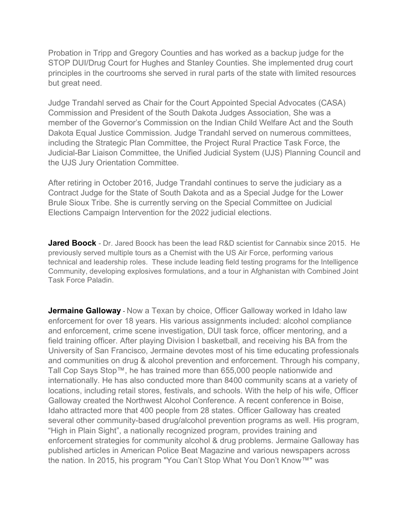Probation in Tripp and Gregory Counties and has worked as a backup judge for the STOP DUI/Drug Court for Hughes and Stanley Counties. She implemented drug court principles in the courtrooms she served in rural parts of the state with limited resources but great need.

Judge Trandahl served as Chair for the Court Appointed Special Advocates (CASA) Commission and President of the South Dakota Judges Association, She was a member of the Governor's Commission on the Indian Child Welfare Act and the South Dakota Equal Justice Commission. Judge Trandahl served on numerous committees, including the Strategic Plan Committee, the Project Rural Practice Task Force, the Judicial-Bar Liaison Committee, the Unified Judicial System (UJS) Planning Council and the UJS Jury Orientation Committee.

After retiring in October 2016, Judge Trandahl continues to serve the judiciary as a Contract Judge for the State of South Dakota and as a Special Judge for the Lower Brule Sioux Tribe. She is currently serving on the Special Committee on Judicial Elections Campaign Intervention for the 2022 judicial elections.

**Jared Boock** - Dr. Jared Boock has been the lead R&D scientist for Cannabix since 2015. He previously served multiple tours as a Chemist with the US Air Force, performing various technical and leadership roles. These include leading field testing programs for the Intelligence Community, developing explosives formulations, and a tour in Afghanistan with Combined Joint Task Force Paladin.

**Jermaine Galloway** - Now a Texan by choice, Officer Galloway worked in Idaho law enforcement for over 18 years. His various assignments included: alcohol compliance and enforcement, crime scene investigation, DUI task force, officer mentoring, and a field training officer. After playing Division I basketball, and receiving his BA from the University of San Francisco, Jermaine devotes most of his time educating professionals and communities on drug & alcohol prevention and enforcement. Through his company, Tall Cop Says Stop™, he has trained more than 655,000 people nationwide and internationally. He has also conducted more than 8400 community scans at a variety of locations, including retail stores, festivals, and schools. With the help of his wife, Officer Galloway created the Northwest Alcohol Conference. A recent conference in Boise, Idaho attracted more that 400 people from 28 states. Officer Galloway has created several other community-based drug/alcohol prevention programs as well. His program, "High in Plain Sight", a nationally recognized program, provides training and enforcement strategies for community alcohol & drug problems. Jermaine Galloway has published articles in American Police Beat Magazine and various newspapers across the nation. In 2015, his program "You Can't Stop What You Don't Know™" was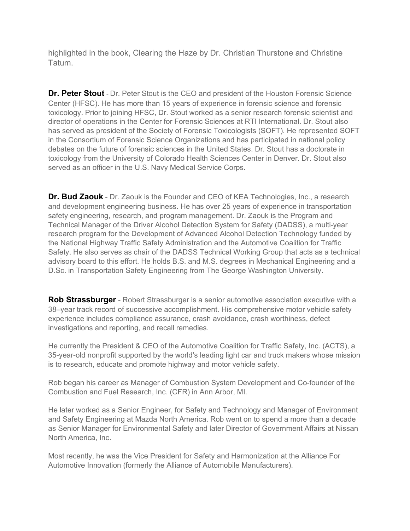highlighted in the book, Clearing the Haze by Dr. Christian Thurstone and Christine Tatum.

**Dr. Peter Stout** - Dr. Peter Stout is the CEO and president of the Houston Forensic Science Center (HFSC). He has more than 15 years of experience in forensic science and forensic toxicology. Prior to joining HFSC, Dr. Stout worked as a senior research forensic scientist and director of operations in the Center for Forensic Sciences at RTI International. Dr. Stout also has served as president of the Society of Forensic Toxicologists (SOFT). He represented SOFT in the Consortium of Forensic Science Organizations and has participated in national policy debates on the future of forensic sciences in the United States. Dr. Stout has a doctorate in toxicology from the University of Colorado Health Sciences Center in Denver. Dr. Stout also served as an officer in the U.S. Navy Medical Service Corps.

**Dr. Bud Zaouk** - Dr. Zaouk is the Founder and CEO of KEA Technologies, Inc., a research and development engineering business. He has over 25 years of experience in transportation safety engineering, research, and program management. Dr. Zaouk is the Program and Technical Manager of the Driver Alcohol Detection System for Safety (DADSS), a multi-year research program for the Development of Advanced Alcohol Detection Technology funded by the National Highway Traffic Safety Administration and the Automotive Coalition for Traffic Safety. He also serves as chair of the DADSS Technical Working Group that acts as a technical advisory board to this effort. He holds B.S. and M.S. degrees in Mechanical Engineering and a D.Sc. in Transportation Safety Engineering from The George Washington University.

**Rob Strassburger** - Robert Strassburger is a senior automotive association executive with a 38–year track record of successive accomplishment. His comprehensive motor vehicle safety experience includes compliance assurance, crash avoidance, crash worthiness, defect investigations and reporting, and recall remedies.

He currently the President & CEO of the Automotive Coalition for Traffic Safety, Inc. (ACTS), a 35-year-old nonprofit supported by the world's leading light car and truck makers whose mission is to research, educate and promote highway and motor vehicle safety.

Rob began his career as Manager of Combustion System Development and Co-founder of the Combustion and Fuel Research, Inc. (CFR) in Ann Arbor, MI.

He later worked as a Senior Engineer, for Safety and Technology and Manager of Environment and Safety Engineering at Mazda North America. Rob went on to spend a more than a decade as Senior Manager for Environmental Safety and later Director of Government Affairs at Nissan North America, Inc.

Most recently, he was the Vice President for Safety and Harmonization at the Alliance For Automotive Innovation (formerly the Alliance of Automobile Manufacturers).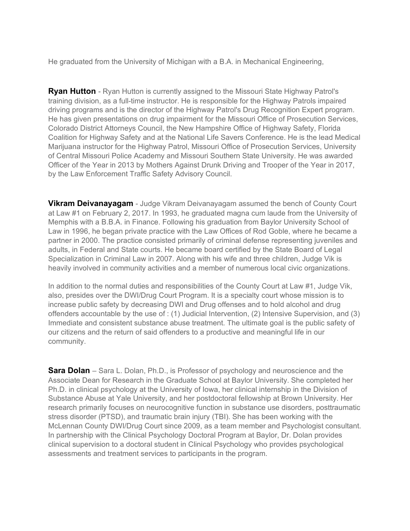He graduated from the University of Michigan with a B.A. in Mechanical Engineering,

**Ryan Hutton** - Ryan Hutton is currently assigned to the Missouri State Highway Patrol's training division, as a full-time instructor. He is responsible for the Highway Patrols impaired driving programs and is the director of the Highway Patrol's Drug Recognition Expert program. He has given presentations on drug impairment for the Missouri Office of Prosecution Services, Colorado District Attorneys Council, the New Hampshire Office of Highway Safety, Florida Coalition for Highway Safety and at the National Life Savers Conference. He is the lead Medical Marijuana instructor for the Highway Patrol, Missouri Office of Prosecution Services, University of Central Missouri Police Academy and Missouri Southern State University. He was awarded Officer of the Year in 2013 by Mothers Against Drunk Driving and Trooper of the Year in 2017, by the Law Enforcement Traffic Safety Advisory Council.

**Vikram Deivanayagam** - Judge Vikram Deivanayagam assumed the bench of County Court at Law #1 on February 2, 2017. In 1993, he graduated magna cum laude from the University of Memphis with a B.B.A. in Finance. Following his graduation from Baylor University School of Law in 1996, he began private practice with the Law Offices of Rod Goble, where he became a partner in 2000. The practice consisted primarily of criminal defense representing juveniles and adults, in Federal and State courts. He became board certified by the State Board of Legal Specialization in Criminal Law in 2007. Along with his wife and three children, Judge Vik is heavily involved in community activities and a member of numerous local civic organizations.

In addition to the normal duties and responsibilities of the County Court at Law #1, Judge Vik, also, presides over the DWI/Drug Court Program. It is a specialty court whose mission is to increase public safety by decreasing DWI and Drug offenses and to hold alcohol and drug offenders accountable by the use of : (1) Judicial Intervention, (2) Intensive Supervision, and (3) Immediate and consistent substance abuse treatment. The ultimate goal is the public safety of our citizens and the return of said offenders to a productive and meaningful life in our community.

**Sara Dolan** – Sara L. Dolan, Ph.D., is Professor of psychology and neuroscience and the Associate Dean for Research in the Graduate School at Baylor University. She completed her Ph.D. in clinical psychology at the University of Iowa, her clinical internship in the Division of Substance Abuse at Yale University, and her postdoctoral fellowship at Brown University. Her research primarily focuses on neurocognitive function in substance use disorders, posttraumatic stress disorder (PTSD), and traumatic brain injury (TBI). She has been working with the McLennan County DWI/Drug Court since 2009, as a team member and Psychologist consultant. In partnership with the Clinical Psychology Doctoral Program at Baylor, Dr. Dolan provides clinical supervision to a doctoral student in Clinical Psychology who provides psychological assessments and treatment services to participants in the program.